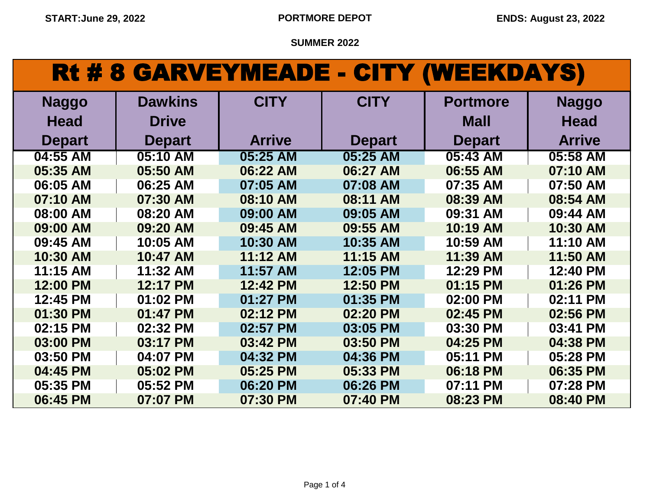## Rt # 8 GARVEYMEADE - CITY (WEEKDAYS)

| <b>Naggo</b>  | <b>Dawkins</b> | <b>CITY</b>   | <b>CITY</b>   | <b>Portmore</b> | <b>Naggo</b>  |
|---------------|----------------|---------------|---------------|-----------------|---------------|
| <b>Head</b>   | <b>Drive</b>   |               |               | <b>Mall</b>     | <b>Head</b>   |
| <b>Depart</b> | <b>Depart</b>  | <b>Arrive</b> | <b>Depart</b> | <b>Depart</b>   | <b>Arrive</b> |
| 04:55 AM      | 05:10 AM       | 05:25 AM      | 05:25 AM      | 05:43 AM        | 05:58 AM      |
| 05:35 AM      | 05:50 AM       | 06:22 AM      | 06:27 AM      | 06:55 AM        | 07:10 AM      |
| 06:05 AM      | 06:25 AM       | 07:05 AM      | 07:08 AM      | 07:35 AM        | 07:50 AM      |
| 07:10 AM      | 07:30 AM       | 08:10 AM      | 08:11 AM      | 08:39 AM        | 08:54 AM      |
| 08:00 AM      | 08:20 AM       | 09:00 AM      | 09:05 AM      | 09:31 AM        | 09:44 AM      |
| 09:00 AM      | 09:20 AM       | 09:45 AM      | 09:55 AM      | 10:19 AM        | 10:30 AM      |
| 09:45 AM      | 10:05 AM       | 10:30 AM      | 10:35 AM      | 10:59 AM        | 11:10 AM      |
| 10:30 AM      | 10:47 AM       | 11:12 AM      | 11:15 AM      | 11:39 AM        | 11:50 AM      |
| 11:15 AM      | 11:32 AM       | 11:57 AM      | 12:05 PM      | 12:29 PM        | 12:40 PM      |
| 12:00 PM      | 12:17 PM       | 12:42 PM      | 12:50 PM      | 01:15 PM        | 01:26 PM      |
| 12:45 PM      | 01:02 PM       | 01:27 PM      | 01:35 PM      | 02:00 PM        | 02:11 PM      |
| 01:30 PM      | 01:47 PM       | 02:12 PM      | 02:20 PM      | 02:45 PM        | 02:56 PM      |
| 02:15 PM      | 02:32 PM       | 02:57 PM      | 03:05 PM      | 03:30 PM        | 03:41 PM      |
| 03:00 PM      | 03:17 PM       | 03:42 PM      | 03:50 PM      | 04:25 PM        | 04:38 PM      |
| 03:50 PM      | 04:07 PM       | 04:32 PM      | 04:36 PM      | 05:11 PM        | 05:28 PM      |
| 04:45 PM      | 05:02 PM       | 05:25 PM      | 05:33 PM      | 06:18 PM        | 06:35 PM      |
| 05:35 PM      | 05:52 PM       | 06:20 PM      | 06:26 PM      | 07:11 PM        | 07:28 PM      |
| 06:45 PM      | 07:07 PM       | 07:30 PM      | 07:40 PM      | 08:23 PM        | 08:40 PM      |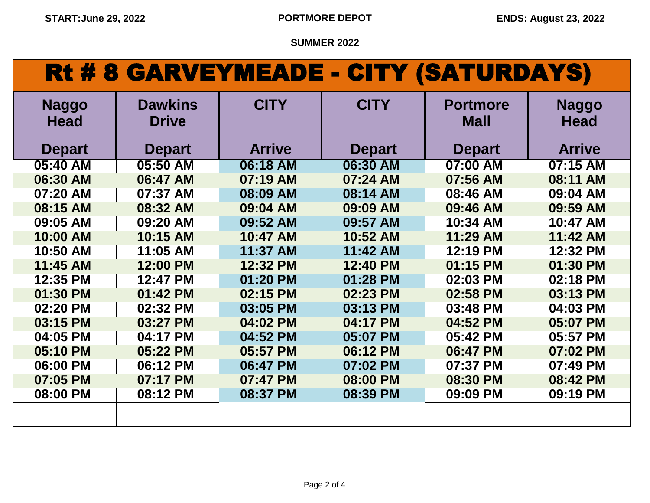## Rt # 8 GARVEYMEADE - CITY (SATURDAYS)

| <b>Naggo</b><br><b>Head</b> | <b>Dawkins</b><br><b>Drive</b> | <b>CITY</b>   | <b>CITY</b>   | <b>Portmore</b><br><b>Mall</b> | <b>Naggo</b><br><b>Head</b> |
|-----------------------------|--------------------------------|---------------|---------------|--------------------------------|-----------------------------|
| <b>Depart</b>               | <b>Depart</b>                  | <b>Arrive</b> | <b>Depart</b> | <b>Depart</b>                  | <b>Arrive</b>               |
| 05:40 AM                    | 05:50 AM                       | 06:18 AM      | 06:30 AM      | 07:00 AM                       | 07:15 AM                    |
| 06:30 AM                    | 06:47 AM                       | 07:19 AM      | 07:24 AM      | 07:56 AM                       | 08:11 AM                    |
| 07:20 AM                    | 07:37 AM                       | 08:09 AM      | 08:14 AM      | 08:46 AM                       | 09:04 AM                    |
| 08:15 AM                    | 08:32 AM                       | 09:04 AM      | 09:09 AM      | 09:46 AM                       | 09:59 AM                    |
| 09:05 AM                    | 09:20 AM                       | 09:52 AM      | 09:57 AM      | 10:34 AM                       | 10:47 AM                    |
| 10:00 AM                    | 10:15 AM                       | 10:47 AM      | 10:52 AM      | 11:29 AM                       | 11:42 AM                    |
| 10:50 AM                    | 11:05 AM                       | 11:37 AM      | 11:42 AM      | 12:19 PM                       | 12:32 PM                    |
| 11:45 AM                    | 12:00 PM                       | 12:32 PM      | 12:40 PM      | 01:15 PM                       | 01:30 PM                    |
| 12:35 PM                    | 12:47 PM                       | 01:20 PM      | 01:28 PM      | 02:03 PM                       | 02:18 PM                    |
| 01:30 PM                    | 01:42 PM                       | 02:15 PM      | 02:23 PM      | 02:58 PM                       | 03:13 PM                    |
| 02:20 PM                    | 02:32 PM                       | 03:05 PM      | 03:13 PM      | 03:48 PM                       | 04:03 PM                    |
| 03:15 PM                    | 03:27 PM                       | 04:02 PM      | 04:17 PM      | 04:52 PM                       | 05:07 PM                    |
| 04:05 PM                    | 04:17 PM                       | 04:52 PM      | 05:07 PM      | 05:42 PM                       | 05:57 PM                    |
| 05:10 PM                    | 05:22 PM                       | 05:57 PM      | 06:12 PM      | 06:47 PM                       | 07:02 PM                    |
| 06:00 PM                    | 06:12 PM                       | 06:47 PM      | 07:02 PM      | 07:37 PM                       | 07:49 PM                    |
| 07:05 PM                    | 07:17 PM                       | 07:47 PM      | 08:00 PM      | 08:30 PM                       | 08:42 PM                    |
| 08:00 PM                    | 08:12 PM                       | 08:37 PM      | 08:39 PM      | 09:09 PM                       | 09:19 PM                    |
|                             |                                |               |               |                                |                             |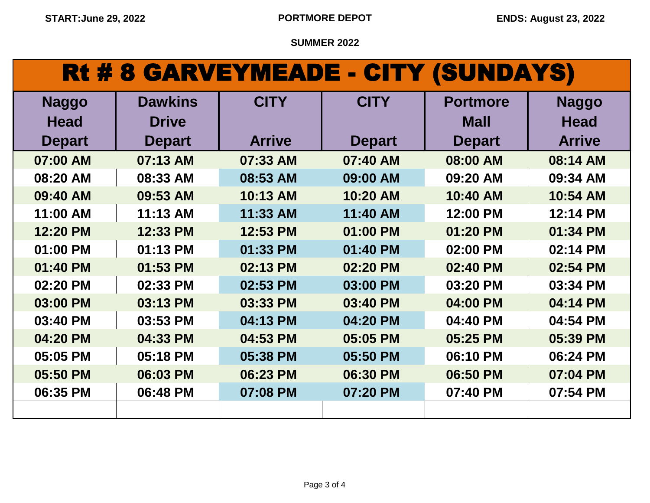## Rt # 8 GARVEYMEADE - CITY (SUNDAYS)

| <b>Naggo</b>  | <b>Dawkins</b> | <b>CITY</b>   | <b>CITY</b>   | <b>Portmore</b> | <b>Naggo</b>  |
|---------------|----------------|---------------|---------------|-----------------|---------------|
| <b>Head</b>   | <b>Drive</b>   |               |               | <b>Mall</b>     | <b>Head</b>   |
| <b>Depart</b> | <b>Depart</b>  | <b>Arrive</b> | <b>Depart</b> | <b>Depart</b>   | <b>Arrive</b> |
| 07:00 AM      | 07:13 AM       | 07:33 AM      | 07:40 AM      | 08:00 AM        | 08:14 AM      |
| 08:20 AM      | 08:33 AM       | 08:53 AM      | 09:00 AM      | 09:20 AM        | 09:34 AM      |
| 09:40 AM      | 09:53 AM       | 10:13 AM      | 10:20 AM      | 10:40 AM        | 10:54 AM      |
| 11:00 AM      | 11:13 AM       | 11:33 AM      | 11:40 AM      | 12:00 PM        | 12:14 PM      |
| 12:20 PM      | 12:33 PM       | 12:53 PM      | 01:00 PM      | 01:20 PM        | 01:34 PM      |
| 01:00 PM      | 01:13 PM       | 01:33 PM      | 01:40 PM      | 02:00 PM        | 02:14 PM      |
| 01:40 PM      | 01:53 PM       | 02:13 PM      | 02:20 PM      | 02:40 PM        | 02:54 PM      |
| 02:20 PM      | 02:33 PM       | 02:53 PM      | 03:00 PM      | 03:20 PM        | 03:34 PM      |
| 03:00 PM      | 03:13 PM       | 03:33 PM      | 03:40 PM      | 04:00 PM        | 04:14 PM      |
| 03:40 PM      | 03:53 PM       | 04:13 PM      | 04:20 PM      | 04:40 PM        | 04:54 PM      |
| 04:20 PM      | 04:33 PM       | 04:53 PM      | 05:05 PM      | 05:25 PM        | 05:39 PM      |
| 05:05 PM      | 05:18 PM       | 05:38 PM      | 05:50 PM      | 06:10 PM        | 06:24 PM      |
| 05:50 PM      | 06:03 PM       | 06:23 PM      | 06:30 PM      | 06:50 PM        | 07:04 PM      |
| 06:35 PM      | 06:48 PM       | 07:08 PM      | 07:20 PM      | 07:40 PM        | 07:54 PM      |
|               |                |               |               |                 |               |